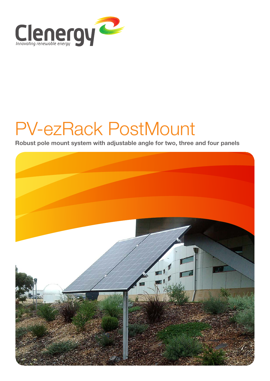

# PV-ezRack PostMount

**Robust pole mount system with adjustable angle for two, three and four panels**

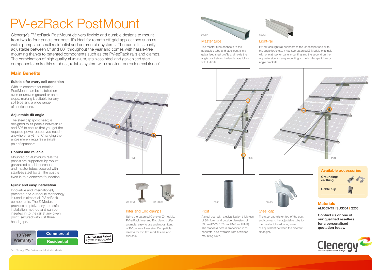The master tube connects to the adjustable tube and steel cap. It is a galvanised steel profile and holds the angle brackets or the landscape tubes with U-bolts.

# PV-ezRack PostMount

# **Main Benefits**

With its concrete foundation. PostMount can be installed on even or uneven ground or on a slope, making it suitable for any soil type and a wide range of applications.

### **Suitable for every soil condition**

# **Adjustable tilt angle**

The steel cap (post head) is designed to tilt panels between 0° and 60° to ensure that you get the required power output you need anywhere, anytime. Changing the angle merely requires a single pair of spanners.

# **Robust and reliable**

Mounted on aluminium rails the panels are supported by robust galvanised steel landscape and master tubes secured with stainless steel bolts. The post is fixed in to a concrete foundation.

# **Quick and easy installation**

Innovative and internationally patented, the Z-Module technology is used in almost all PV-ezRack components. The Z-Module provides a quick, easy and safe installation method and can be inserted in to the rail at any given point, secured with just three hand grips.

\*see Clenergy PV-ezRack warranty for further details



Clenergy's PV-ezRack PostMount delivers flexible and durable designs to mount from two to four panels per post. It's ideal for remote off-grid applications such as water pumps, or small residential and commercial systems. The panel tilt is easily adjustable between 0° and 60° throughout the year and comes with hassle-free mounting thanks to patented components such as the PV-ezRack rails and clamps. The combination of high quality aluminium, stainless steel and galvanised steel components make this a robust, reliable system with excellent corrosion resistance\* .

# Inter and End clamps

Using the patented Clenergy Z-module, PV-ezRack Inter and End clamps offer a simple, easy to use and robust fixing of PV panels of any size. Compatible clamps for thin film modules are also available.







## Master tube

# Post

A steel post with a galvanisation thickness of 80micron and outside diameters of: 83mm (PM2), 102mm (PM3 and PM4). The standard post is embedded in to concrete, also available with a welded mounting plate.





# Light-rail

PV-ezRack light rail connects to the landscape tube or to the angle brackets. It has two patented Z-Module channels with one at top for panel mounting and the second on the opposite side for easy mounting to the landscape tubes or

angle brackets.







**Cable clip**

Steel cap



### The steel cap sits on top of the post and connects the adjustable tube to the master tube allowing ease of adjustment between the different tilt angles.



**Contact us or one of our qualified resellers for a personalised quotation today.**



# **Materials**

**AL6005-T5 | SUS304 | Q235**